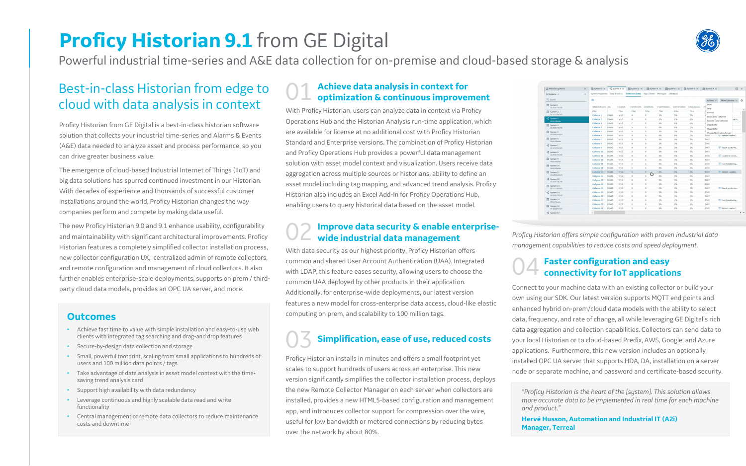## **Proficy Historian 9.1** from GE Digital

Powerful industrial time-series and A&E data collection for on-premise and cloud-based storage & analysis

## Best-in-class Historian from edge to cloud with data analysis in context

Proficy Historian from GE Digital is a best-in-class historian software solution that collects your industrial time-series and Alarms & Events (A&E) data needed to analyze asset and process performance, so you can drive greater business value.

The emergence of cloud-based Industrial Internet of Things (IIoT) and big data solutions has spurred continued investment in our Historian. With decades of experience and thousands of successful customer installations around the world, Proficy Historian changes the way companies perform and compete by making data useful.

The new Proficy Historian 9.0 and 9.1 enhance usability, configurability and maintainability with significant architectural improvements. Proficy Historian features a completely simplified collector installation process, new collector configuration UX, centralized admin of remote collectors, and remote configuration and management of cloud collectors. It also further enables enterprise-scale deployments, supports on prem / thirdparty cloud data models, provides an OPC UA server, and more.

### **Improve data security & enable enterprisewide industrial data management**

# 01 **Achieve data analysis in context for optimization & continuous improvement**

With Proficy Historian, users can analyze data in context via Proficy Operations Hub and the Historian Analysis run-time application, which are available for license at no additional cost with Proficy Historian Standard and Enterprise versions. The combination of Proficy Historian and Proficy Operations Hub provides a powerful data management solution with asset model context and visualization. Users receive data aggregation across multiple sources or historians, ability to define an asset model including tag mapping, and advanced trend analysis. Proficy Historian also includes an Excel Add-In for Proficy Operations Hub, enabling users to query historical data based on the asset model.

With data security as our highest priority, Proficy Historian offers common and shared User Account Authentication (UAA). Integrated with LDAP, this feature eases security, allowing users to choose the common UAA deployed by other products in their application. Additionally, for enterprise-wide deployments, our latest version features a new model for cross-enterprise data access, cloud-like elastic computing on prem, and scalability to 100 million tags.

## 03 **Simplification, ease of use, reduced costs**

Proficy Historian installs in minutes and offers a small footprint yet scales to support hundreds of users across an enterprise. This new version significantly simplifies the collector installation process, deploys the new Remote Collector Manager on each server when collectors are installed, provides a new HTML5-based configuration and management app, and introduces collector support for compression over the wire, useful for low bandwidth or metered connections by reducing bytes over the network by about 80%.

# 04 **Faster configuration and easy connectivity for IoT applications**

Connect to your machine data with an existing collector or build your own using our SDK. Our latest version supports MQTT end points and enhanced hybrid on-prem/cloud data models with the ability to select data, frequency, and rate of change, all while leveraging GE Digital's rich data aggregation and collection capabilities. Collectors can send data to your local Historian or to cloud-based Predix, AWS, Google, and Azure applications. Furthermore, this new version includes an optionally installed OPC UA server that supports HDA, DA, installation on a server node or separate machine, and password and certificate-based security.

### **Outcomes**

- Achieve fast time to value with simple installation and easy-to-use web clients with integrated tag searching and drag-and drop features
- Secure-by-design data collection and storage
- Small, powerful footprint, scaling from small applications to hundreds of users and 100 million data points / tags
- Take advantage of data analysis in asset model context with the timesaving trend analysis card
- Support high availability with data redundancy
- Leverage continuous and highly scalable data read and write functionality
- Central management of remote data collectors to reduce maintenance costs and downtime

*Proficy Historian offers simple configuration with proven industrial data management capabilities to reduce costs and speed deployment.*



| & Historian Systems                                | $\times$ | 图 System 2 X             | $\frac{1}{2}$ System 3 $\times$ | <b>■</b> System 1 ×                                | □ System 5 ×                  |               | <b>■</b> System 4 × | 图 System 7 X   | <b>■</b> System 9 ×           |                                  | 日 ×          |
|----------------------------------------------------|----------|--------------------------|---------------------------------|----------------------------------------------------|-------------------------------|---------------|---------------------|----------------|-------------------------------|----------------------------------|--------------|
| All Systems v                                      | $+$      | <b>System Properties</b> | Data Stores (3)                 | Collectors (500) Tags (13456) Messages Clients (4) |                               |               |                     |                |                               |                                  |              |
| Q Search                                           |          | <b>AB</b>                |                                 |                                                    |                               |               |                     |                | Actions $\vee$                | Show Columns                     | $\checkmark$ |
| <b>图</b> System 1<br>10.2010.76.245                |          | COLLECTOR NAME HINE      |                                 | VVERSION                                           | <b>YREPORT RATE YOVERRUNS</b> | Y COMPRESSION | YOUT OF ORDER       | Y REDUNDANCY Y | Start<br>Stop                 |                                  |              |
| System 2<br>10.121.254.325                         |          | Filter                   |                                 | Filter<br>Filter                                   | Filter                        | Filter        | Filter              | Filter         | Restart                       |                                  |              |
|                                                    |          | Collector 1              | 356AS                           | $\circ$<br>V <sub>5.0</sub>                        | $\circ$                       | 5%            | 5%                  | 5%             | Pause Data collection         |                                  |              |
| $n12$ System 3<br>Win10HistSer                     |          | Collector 2              | <b>B56AS</b>                    | V <sub>5.3</sub><br>$\circ$                        | $\circ$                       | 2%            | 2%                  | 2%             | <b>Resume Data Collection</b> |                                  | ue to        |
| System 4<br>10.2010.76.245                         |          | Collector 3              | 356AS                           | $\overline{c}$<br>V <sub>5.3</sub>                 | $\circ$                       | 0%            | 0%                  | 0%             |                               | Clear Buffer                     |              |
|                                                    |          | Collector 4              | 356AS                           | 5<br>V <sub>5.0</sub>                              | $\circ$                       | 0%            | 0%                  | 0%             | Move Buffer                   |                                  |              |
| System 5                                           |          | Collector 5              | 356AS                           | V <sub>5.0</sub><br>5                              | $\circ$                       | 2%            | 2%                  | 2%             |                               | <b>Change Destination Server</b> |              |
| Win2016Hist24                                      |          | Collector 6              | <b>B56AS</b>                    | V <sub>5.3</sub><br>$\circ$                        | $\circ$                       | 0%            | 0%                  | 0%             | 2345                          | tsu Kestart needed               |              |
| System 6<br>Win10HistSer                           |          | Collector 7              | 356AS                           | V <sub>5.3</sub><br>$\circ$                        | $\circ$                       | 5%            | 5%                  | 5%             | 3467                          |                                  |              |
| $\frac{10}{2}$ System 7                            |          | Collector 8              | <b>B56AS</b>                    | $\circ$<br>V <sub>5.3</sub>                        | $\circ$                       | 2%            | 2%                  | 2%             | 2345                          |                                  |              |
| 10.121.254.325                                     |          | Collector 9              | 356AS                           | V <sub>5.0</sub><br>$\circ$                        | $\circ$                       | 2%            | 2%                  | 2%             | 3467                          | Reach out to Ma.                 |              |
| $e_{n}^{B}$ System 8                               |          | Collector 10             | <b>B56AS</b>                    | V <sub>5.0</sub><br>$\overline{c}$                 | $\circ$                       | 5%            | 5%                  | 5%             | 3467                          |                                  |              |
| 10.2010.76.245                                     |          | Collector 11             | 856AS                           | $\circ$<br>V <sub>5.0</sub>                        | $\circ$                       | 5%            | 5%                  | 5%             | 2345                          | Unable to conne                  |              |
| System 9<br>Win10HistSer                           |          | Collector 12             | <b>856AS</b>                    | $\circ$<br>V <sub>5.3</sub>                        | $\circ$                       | 2%            | 2%                  | 2%             | 3467                          |                                  |              |
| System 10                                          |          | Collector 13             | 856AS                           | V <sub>5.3</sub><br>$\overline{c}$                 | $\circ$                       | 0%            | 0%                  | 0%             | 2345                          | Non Functioning                  |              |
| Win10HistSer                                       |          | Collector 14             | <b>856AS</b>                    | V <sub>5.0</sub><br>5                              | $\circ$                       | 0%            | 0%                  | 0%             | 2345                          |                                  |              |
| 图 System 11                                        |          | Collector 15             | 856AS                           | V <sub>5.0</sub><br>$\sf S$                        | $\mathbf{0}$                  | 2%            | 2%                  | 2%             | 2345                          | Restart needed                   |              |
| Win2016Hist24                                      |          | Collector 16             | <b>B56AS</b>                    | V <sub>5.3</sub><br>$\circ$                        | Ò<br>$\circ$                  | 0%            | 0%                  | 0%             | 3467                          |                                  |              |
| $\mathbb{E}^{\square}$ System 12<br>10.2010.76.245 |          | Collector 17             | 856AS                           | $\circ$<br>V <sub>5.3</sub>                        | $\circ$                       | 5%            | 5%                  | 5%             | 3467                          |                                  |              |
| System 13                                          |          | Collector 18             | <b>856AS</b>                    | V <sub>5.3</sub><br>$\circ$                        | $\circ$                       | 2%            | 2%                  | 2%             | 2345                          |                                  |              |
| 10.121.254.325                                     |          | Collector 19             | 856AS                           | $\circ$<br>V <sub>5.0</sub>                        | $\circ$                       | 2%            | 2%                  | 2%             | 3467                          | Reach out to Jos                 |              |
| $n_{n}^{0}$ System 14                              |          | Collector 20             | <b>B56AS</b>                    | $\overline{c}$<br>V <sub>5.0</sub>                 | $\circ$                       | 5%            | 5%                  | 5%             | 2345                          |                                  |              |
| 10.2010.76.245                                     |          | Collector 21             | <b>B56AS</b>                    | $\circ$<br>V <sub>5.0</sub>                        | $\circ$                       | 5%            | 5%                  | 5%             | 3467                          |                                  |              |
| System 15<br>Win10HistSer                          |          | Collector 22             | 856AS                           | V <sub>5.3</sub><br>$\circ$                        | $\circ$                       | 2%            | 2%                  | 2%             | 2345                          | Non Functioning                  |              |
|                                                    |          | Collector 23             | 856AS                           | $\overline{c}$<br>V <sub>5.3</sub>                 | $\circ$                       | 0%            | 0%                  | 0%             | 3467                          |                                  |              |
| System 16<br>10.121.254.325                        |          | <b>Collector 24</b>      | 856AS                           | 5<br>V <sub>5.0</sub>                              | $\Omega$                      | 0%            | 0%                  | 0%             | 2345                          | Restart needed                   |              |
| $\frac{10}{10}$ System 17                          |          | $\left($                 |                                 |                                                    |                               |               |                     |                |                               |                                  |              |

**Hervé Husson, Automation and Industrial IT (A2i) Manager, Terreal**

*"Proficy Historian is the heart of the [system]. This solution allows more accurate data to be implemented in real time for each machine and product."*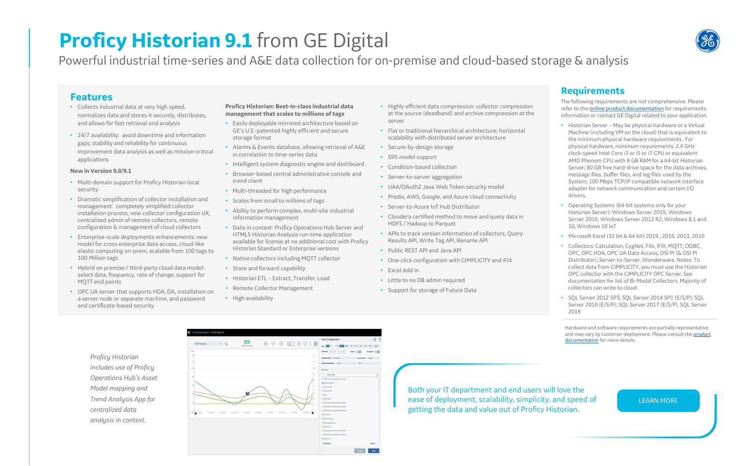# **Proficy Historian 9.1** from GE Digital

Powerful industrial time-series and A&E data collection for on-premise and cloud-based storage & analysis

### **Features**

- Collects industrial data at very high speed, normalizes data and stores it securely, distributes, and allows for fast retrieval and analysis
- 24/7 availability: avoid downtime and information gaps; stability and reliability for continuous improvement data analysis as well as mission-critical applications

### **New in Version 9.0/9.1**

- Multi-domain support for Proficy Historian local security
- Dramatic simplification of collector installation and management: completely simplified collector installation process, new collector configuration UX, centralized admin of remote collectors, remote configuration & management of cloud collectors
- Enterprise-scale deployments enhancements: new model for cross enterprise data access, cloud-like elastic computing on-prem, scalable from 100 tags to 100 Million tags
- Hybrid on premise / third-party cloud data model: select data, frequency, rate of change; support for MQTT end points
- OPC UA server that supports HDA, DA, installation on a server node or separate machine, and password and certificate-based security

### **Proficy Historian: Best-in-class industrial data management that scales to millions of tags**

- Easily deployable mirrored architecture based on GE's U.S.-patented highly efficient and secure storage format
- Alarms & Events database, allowing retrieval of A&E in correlation to time-series data
- Intelligent system diagnostic engine and dashboard
- Browser-based central administrative console and trend client
- Multi-threaded for high performance
- Scales from small to millions of tags
- Ability to perform complex, multi-site industrial information management
- Data in context: Proficy Operations Hub Server and HTML5 Historian Analysis run-time application available for license at no additional cost with Proficy Historian Standard or Enterprise versions
- Native collectors including MQTT collector
- Store and forward capability
- Historian ETL Extract, Transfer, Load
- Remote Collector Management
- High availability

Hardware and software requirements are partially representative [and may vary by customer deployment. Please consult the product](https://www.ge.com/digital/product-documentation)  documentation for more details.

### **Requirements**

The following requirements are not comprehensive. Please refer to the **[online product documentation](https://www.ge.com/digital/product-documentation)** for requirements information or contact GE Digital related to your application.

- Historian Server May be physical hardware or a Virtual Machine (including VM on the cloud) that is equivalent to the minimum physical hardware requirements. For physical hardware, minimum requirements: 2.4 GHz clock-speed Intel Core i3 or i5 or i7 CPU or equivalent AMD Phenom CPU with 8 GB RAM for a 64-bit Historian Server; 80 GB free hard-drive space for the data archives, message files, buffer files, and log files used by the System; 100 Mbps TCP/IP compatible network interface adapter for network communication and certain I/O drivers.
- Operating Systems (64-bit systems only for your Historian Server): Windows Server 2019, Windows Server 2016, Windows Server 2012 R2, Windows 8.1 and 10, Windows 10 IoT
- Microsoft Excel (32 bit & 64 bit) 2019 , 2016, 2013, 2010
- Collectors: Calculation, CygNet, File, iFIX, MQTT, ODBC, OPC, OPC HDA, OPC UA Data Access, OSI PI (& OSI PI Distributor), Server-to-Server, Wonderware. Notes: To collect data from CIMPLICITY, you must use the Historian OPC collector with the CIMPLICITY OPC Server. See documentation for list of Bi-Modal Collectors. Majority of collectors can write to cloud.
- SQL Server 2012 SP3; SQL Server 2014 SP1 (E/S/P); SQL Server 2016 (E/S/P); SQL Server 2017 (E/S/P), SQL Server 2019

Both your IT department and end users will love the ease of deployment, scalability, simplicity, and speed of getting the data and value out of Proficy Historian.



[LEARN MORE](https://www.ge.com/digital/applications/historian)

*Proficy Historian includes use of Proficy Operations Hub's Asset Model mapping and Trend Analysis App for centralized data analysis in context.*

|                                 |                   | LIVE                     |                                         |             |             |                                                                                                                                                                                                                                                                                                                                                     |           | <b>Chart Configuration</b>                            | 63                            |
|---------------------------------|-------------------|--------------------------|-----------------------------------------|-------------|-------------|-----------------------------------------------------------------------------------------------------------------------------------------------------------------------------------------------------------------------------------------------------------------------------------------------------------------------------------------------------|-----------|-------------------------------------------------------|-------------------------------|
| iFIXPump1a                      | $\checkmark$<br>岱 | Last 5 minutes           | $\stackrel{\leftarrow}{\leftarrow}$<br> | $\bigoplus$ |             | $\begin{picture}(16,15) \put(0,0){\line(1,0){15}} \put(15,0){\line(1,0){15}} \put(15,0){\line(1,0){15}} \put(15,0){\line(1,0){15}} \put(15,0){\line(1,0){15}} \put(15,0){\line(1,0){15}} \put(15,0){\line(1,0){15}} \put(15,0){\line(1,0){15}} \put(15,0){\line(1,0){15}} \put(15,0){\line(1,0){15}} \put(15,0){\line(1,0){15}} \put(15,0){\line(1$ |           | 1M<br>94<br>30H<br>1H<br>2H<br>$\bullet$<br>H<br>TIME | 24H<br>4H<br>8H<br>Custom     |
| MAX                             |                   |                          |                                         |             |             |                                                                                                                                                                                                                                                                                                                                                     |           | <b>DURATION</b> 0 : 0 : 5 : 0<br><b>NOTES</b>         | <b>STATISTICS</b>             |
| 140                             |                   |                          |                                         |             |             |                                                                                                                                                                                                                                                                                                                                                     | 320       | SAMPLING MODE Calculated                              | $\vee$ CALCULATION<br>Average |
| 120                             |                   |                          |                                         |             |             |                                                                                                                                                                                                                                                                                                                                                     | 110       | SAMPLING INCREMENT By Size<br>$\times$ 1000           |                               |
| 100                             |                   |                          |                                         |             |             |                                                                                                                                                                                                                                                                                                                                                     | 100       | Add Pens                                              |                               |
|                                 |                   |                          |                                         |             |             |                                                                                                                                                                                                                                                                                                                                                     | 90        | <- iFDOPump1a                                         |                               |
| 50 <sub>1</sub>                 |                   |                          |                                         |             |             |                                                                                                                                                                                                                                                                                                                                                     | no.       | □ ⊙ Displacementpump1BStatusFeedback                  |                               |
|                                 |                   |                          |                                         |             |             |                                                                                                                                                                                                                                                                                                                                                     |           | 2 3 Pumping station                                   |                               |
| 60 <sub>1</sub>                 |                   |                          |                                         |             |             |                                                                                                                                                                                                                                                                                                                                                     | 70        | □ 3 SuctionLevel                                      |                               |
|                                 |                   |                          |                                         |             |             |                                                                                                                                                                                                                                                                                                                                                     |           | D @ WaterTemp                                         |                               |
|                                 |                   | 两                        |                                         |             |             |                                                                                                                                                                                                                                                                                                                                                     | 60        | <b>DOHP</b>                                           |                               |
|                                 |                   |                          |                                         |             |             |                                                                                                                                                                                                                                                                                                                                                     |           | □ 3 RunStatus                                         |                               |
| 20 <sub>1</sub>                 |                   |                          |                                         |             |             |                                                                                                                                                                                                                                                                                                                                                     |           | □ 3 Displacementpump1CStatusFeedback                  |                               |
|                                 |                   |                          |                                         |             |             |                                                                                                                                                                                                                                                                                                                                                     |           | □ 3 Displacementpump1DStatusFeedback                  |                               |
|                                 |                   |                          |                                         |             |             |                                                                                                                                                                                                                                                                                                                                                     | 30        | O Displacementpump1EStatusFeedback                    |                               |
| $\bullet$ 130 PM<br>01.44.00 PM | 01:44:30 PM       | 01:45:00 PM<br>014530 PM | 01.46 00 PM<br>01:46:30 PM              | 014700 PM   | 01:47 30 PM | 01.40.00 PM                                                                                                                                                                                                                                                                                                                                         | $\bullet$ | 5 @ TankLevel                                         |                               |
|                                 |                   |                          |                                         |             |             |                                                                                                                                                                                                                                                                                                                                                     |           |                                                       |                               |
|                                 |                   |                          |                                         |             |             |                                                                                                                                                                                                                                                                                                                                                     |           | <b>N</b> O CombinedFlow                               |                               |
|                                 |                   |                          |                                         |             |             |                                                                                                                                                                                                                                                                                                                                                     |           | 5 O DischargePressure                                 |                               |
|                                 |                   |                          |                                         |             |             |                                                                                                                                                                                                                                                                                                                                                     |           | □ 3 RunStatus                                         |                               |
|                                 |                   |                          |                                         |             |             |                                                                                                                                                                                                                                                                                                                                                     |           | □ 3 Displacementpump1CStatusFeedback                  |                               |
|                                 |                   |                          |                                         |             |             |                                                                                                                                                                                                                                                                                                                                                     |           | □ ⊙ Displacementpump1DStatusFeedback                  |                               |
|                                 |                   |                          |                                         |             |             |                                                                                                                                                                                                                                                                                                                                                     |           | 5 3 TankLevel                                         |                               |
|                                 |                   |                          |                                         |             |             |                                                                                                                                                                                                                                                                                                                                                     |           | < Previous                                            | Next                          |

- Highly efficient data compression: collector compression at the source (deadband) and archive compression at the server
- Flat or traditional hierarchical architecture; horizontal scalability with distributed server architecture
- Secure-by-design storage
- S95 model support
- Condition-based collection
- Server-to-server aggregation
- UAA/OAuth2 Java Web Token security model
- Predix, AWS, Google, and Azure cloud connectivity
- Server-to-Azure IoT Hub Distributor
- Cloudera certified method to move and query data in HDFS / Hadoop to Parquet
- APIs to track version information of collectors, Query Results API, Write Tag API, Rename API
- Public REST API and Java API
- One-click configuration with CIMPLICITY and iFIX
- Excel Add In
- Little to no DB admin required
- Support for storage of Future Data